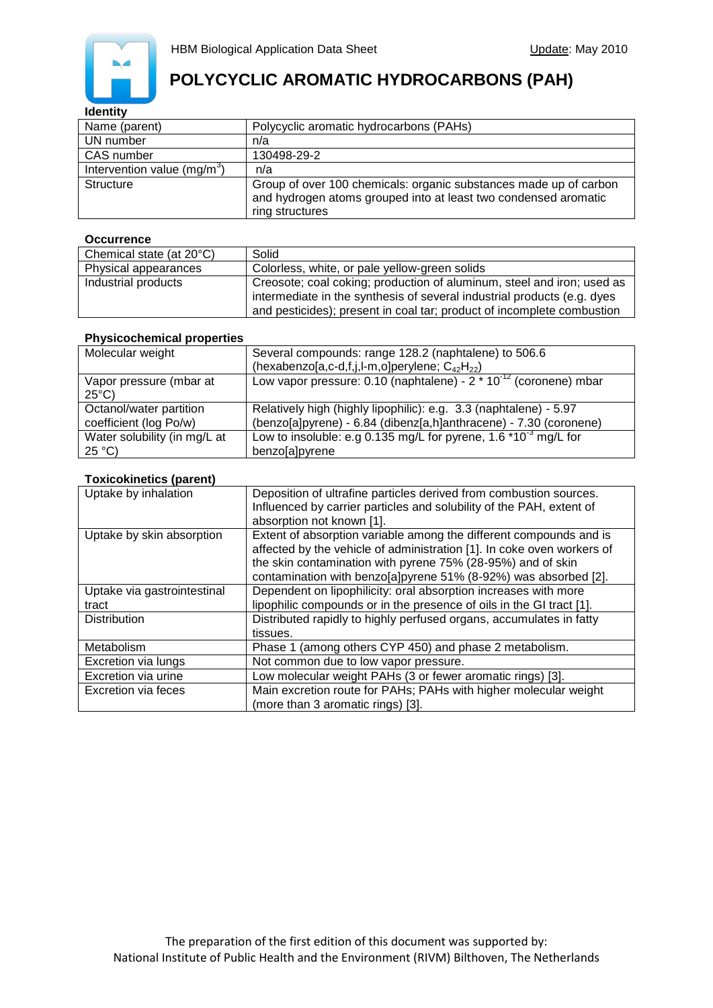

# **POLYCYCLIC AROMATIC HYDROCARBONS (PAH)**

### **Identity**

| Name (parent)                           | Polycyclic aromatic hydrocarbons (PAHs)                                                                                                                 |
|-----------------------------------------|---------------------------------------------------------------------------------------------------------------------------------------------------------|
| UN number                               | n/a                                                                                                                                                     |
| CAS number                              | 130498-29-2                                                                                                                                             |
| Intervention value (mg/m <sup>3</sup> ) | n/a                                                                                                                                                     |
| <b>Structure</b>                        | Group of over 100 chemicals: organic substances made up of carbon<br>and hydrogen atoms grouped into at least two condensed aromatic<br>ring structures |

#### **Occurrence**

| Chemical state (at 20°C) | Solid                                                                                                                                             |
|--------------------------|---------------------------------------------------------------------------------------------------------------------------------------------------|
| Physical appearances     | Colorless, white, or pale yellow-green solids                                                                                                     |
| Industrial products      | Creosote; coal coking; production of aluminum, steel and iron; used as<br>intermediate in the synthesis of several industrial products (e.g. dyes |
|                          | and pesticides); present in coal tar; product of incomplete combustion                                                                            |

### **Physicochemical properties**

| Molecular weight                                | Several compounds: range 128.2 (naphtalene) to 506.6<br>(hexabenzo[a,c-d,f,j,l-m,o]perylene; $C_{42}H_{22}$ ) |
|-------------------------------------------------|---------------------------------------------------------------------------------------------------------------|
| Vapor pressure (mbar at<br>$25^{\circ}$ C)      | Low vapor pressure: 0.10 (naphtalene) - $2 * 10^{-12}$ (coronene) mbar                                        |
| Octanol/water partition                         | Relatively high (highly lipophilic): e.g. 3.3 (naphtalene) - 5.97                                             |
| coefficient (log Po/w)                          | (benzo[a]pyrene) - 6.84 (dibenz[a,h]anthracene) - 7.30 (coronene)                                             |
| Water solubility (in mg/L at<br>$25^{\circ}$ C) | Low to insoluble: e.g 0.135 mg/L for pyrene, 1.6 $*10^{-3}$ mg/L for<br>benzo[a]pyrene                        |

### **Toxicokinetics (parent)**

| Uptake by inhalation        | Deposition of ultrafine particles derived from combustion sources.<br>Influenced by carrier particles and solubility of the PAH, extent of<br>absorption not known [1].                                                                                                        |
|-----------------------------|--------------------------------------------------------------------------------------------------------------------------------------------------------------------------------------------------------------------------------------------------------------------------------|
| Uptake by skin absorption   | Extent of absorption variable among the different compounds and is<br>affected by the vehicle of administration [1]. In coke oven workers of<br>the skin contamination with pyrene 75% (28-95%) and of skin<br>contamination with benzo[a]pyrene 51% (8-92%) was absorbed [2]. |
| Uptake via gastrointestinal | Dependent on lipophilicity: oral absorption increases with more                                                                                                                                                                                                                |
| tract                       | lipophilic compounds or in the presence of oils in the GI tract [1].                                                                                                                                                                                                           |
| <b>Distribution</b>         | Distributed rapidly to highly perfused organs, accumulates in fatty<br>tissues.                                                                                                                                                                                                |
| Metabolism                  | Phase 1 (among others CYP 450) and phase 2 metabolism.                                                                                                                                                                                                                         |
| Excretion via lungs         | Not common due to low vapor pressure.                                                                                                                                                                                                                                          |
| Excretion via urine         | Low molecular weight PAHs (3 or fewer aromatic rings) [3].                                                                                                                                                                                                                     |
| <b>Excretion via feces</b>  | Main excretion route for PAHs; PAHs with higher molecular weight<br>(more than 3 aromatic rings) [3].                                                                                                                                                                          |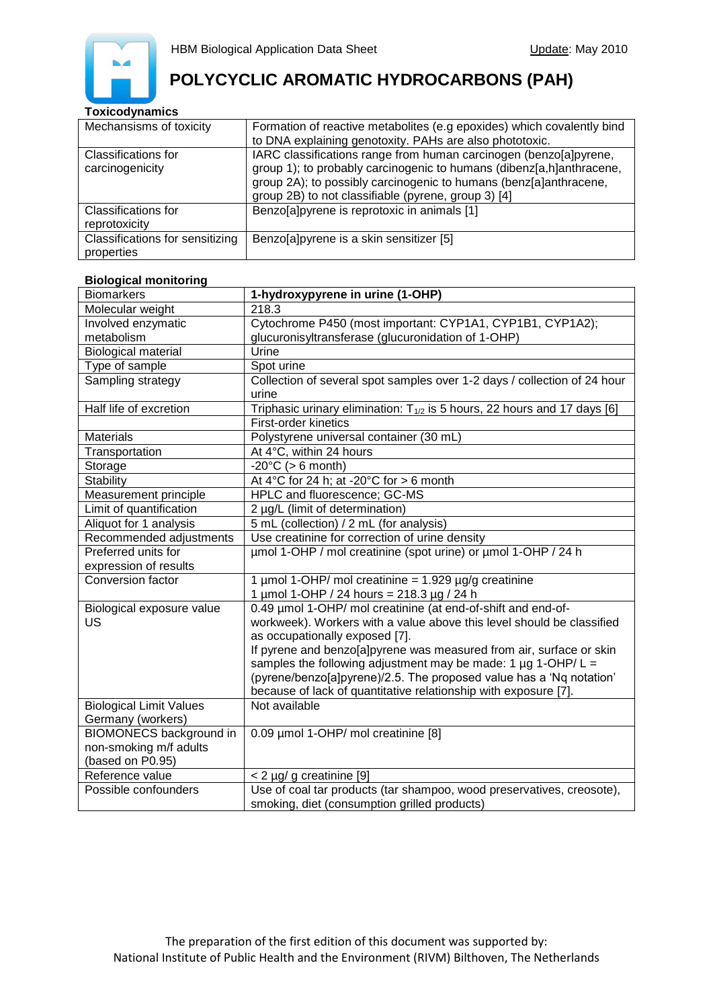

## **POLYCYCLIC AROMATIC HYDROCARBONS (PAH)**

### **Toxicodynamics**

| Mechansisms of toxicity         | Formation of reactive metabolites (e.g epoxides) which covalently bind |
|---------------------------------|------------------------------------------------------------------------|
|                                 | to DNA explaining genotoxity. PAHs are also phototoxic.                |
| Classifications for             | IARC classifications range from human carcinogen (benzo[a]pyrene,      |
| carcinogenicity                 | group 1); to probably carcinogenic to humans (dibenz[a,h]anthracene,   |
|                                 | group 2A); to possibly carcinogenic to humans (benz[a]anthracene,      |
|                                 | group 2B) to not classifiable (pyrene, group 3) [4]                    |
| Classifications for             | Benzo[a]pyrene is reprotoxic in animals [1]                            |
| reprotoxicity                   |                                                                        |
| Classifications for sensitizing | Benzo[a]pyrene is a skin sensitizer [5]                                |
| properties                      |                                                                        |

### **Biological monitoring**

| <b>Biomarkers</b>              | 1-hydroxypyrene in urine (1-OHP)                                                  |
|--------------------------------|-----------------------------------------------------------------------------------|
| Molecular weight               | 218.3                                                                             |
| Involved enzymatic             | Cytochrome P450 (most important: CYP1A1, CYP1B1, CYP1A2);                         |
| metabolism                     | glucuronisyltransferase (glucuronidation of 1-OHP)                                |
| <b>Biological material</b>     | Urine                                                                             |
| Type of sample                 | Spot urine                                                                        |
| Sampling strategy              | Collection of several spot samples over 1-2 days / collection of 24 hour<br>urine |
| Half life of excretion         | Triphasic urinary elimination: $T_{1/2}$ is 5 hours, 22 hours and 17 days [6]     |
|                                | First-order kinetics                                                              |
| <b>Materials</b>               | Polystyrene universal container (30 mL)                                           |
| Transportation                 | At 4°C, within 24 hours                                                           |
| Storage                        | $-20^{\circ}$ C (> 6 month)                                                       |
| Stability                      | At 4°C for 24 h; at -20°C for > 6 month                                           |
| Measurement principle          | HPLC and fluorescence; GC-MS                                                      |
| Limit of quantification        | 2 µg/L (limit of determination)                                                   |
| Aliquot for 1 analysis         | 5 mL (collection) / 2 mL (for analysis)                                           |
| Recommended adjustments        | Use creatinine for correction of urine density                                    |
| Preferred units for            | umol 1-OHP / mol creatinine (spot urine) or umol 1-OHP / 24 h                     |
| expression of results          |                                                                                   |
| Conversion factor              | 1 µmol 1-OHP/ mol creatinine = $1.929$ µg/g creatinine                            |
|                                | 1 $\mu$ mol 1-OHP / 24 hours = 218.3 $\mu$ g / 24 h                               |
| Biological exposure value      | 0.49 µmol 1-OHP/ mol creatinine (at end-of-shift and end-of-                      |
| US                             | workweek). Workers with a value above this level should be classified             |
|                                | as occupationally exposed [7].                                                    |
|                                | If pyrene and benzo[a]pyrene was measured from air, surface or skin               |
|                                | samples the following adjustment may be made: 1 $\mu$ g 1-OHP/ L =                |
|                                | (pyrene/benzo[a]pyrene)/2.5. The proposed value has a 'Nq notation'               |
|                                | because of lack of quantitative relationship with exposure [7].                   |
| <b>Biological Limit Values</b> | Not available                                                                     |
| Germany (workers)              |                                                                                   |
| <b>BIOMONECS background in</b> | 0.09 µmol 1-OHP/ mol creatinine [8]                                               |
| non-smoking m/f adults         |                                                                                   |
| (based on P0.95)               |                                                                                   |
| Reference value                | < 2 µg/ g creatinine [9]                                                          |
| Possible confounders           | Use of coal tar products (tar shampoo, wood preservatives, creosote),             |
|                                | smoking, diet (consumption grilled products)                                      |